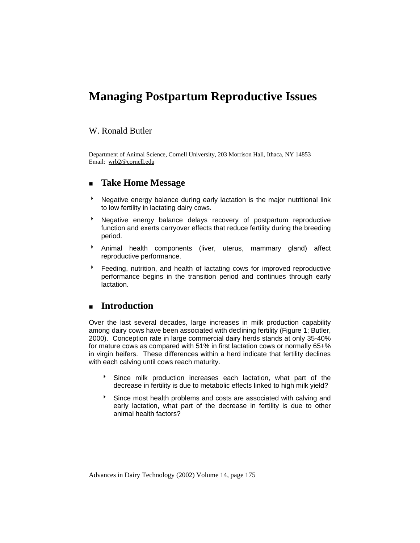# **Managing Postpartum Reproductive Issues**

## W. Ronald Butler

Department of Animal Science, Cornell University, 203 Morrison Hall, Ithaca, NY 14853 Email: wrb2@cornell.edu

# **Take Home Message**

- Negative energy balance during early lactation is the major nutritional link to low fertility in lactating dairy cows.
- **BEE AT ADATA THE STARK IN STARK IN STARK IN STARK IN STARK IN STARK IN STARK IN STARK IN STARK IN STARK IN STARK IN STARK IN STARK IN STARK IN STARK IN STARK IN STARK IN STARK IN STARK IN STARK IN STARK IN STARK IN STARK** function and exerts carryover effects that reduce fertility during the breeding period.
- \* Animal health components (liver, uterus, mammary gland) affect reproductive performance.
- **Eeding, nutrition, and health of lactating cows for improved reproductive** performance begins in the transition period and continues through early lactation.

# **Introduction**

Over the last several decades, large increases in milk production capability among dairy cows have been associated with declining fertility (Figure 1; Butler, 2000). Conception rate in large commercial dairy herds stands at only 35-40% for mature cows as compared with 51% in first lactation cows or normally 65+% in virgin heifers. These differences within a herd indicate that fertility declines with each calving until cows reach maturity.

- <sup>t</sup> Since milk production increases each lactation, what part of the decrease in fertility is due to metabolic effects linked to high milk yield?
- <sup>t</sup> Since most health problems and costs are associated with calving and early lactation, what part of the decrease in fertility is due to other animal health factors?

Advances in Dairy Technology (2002) Volume 14, page 175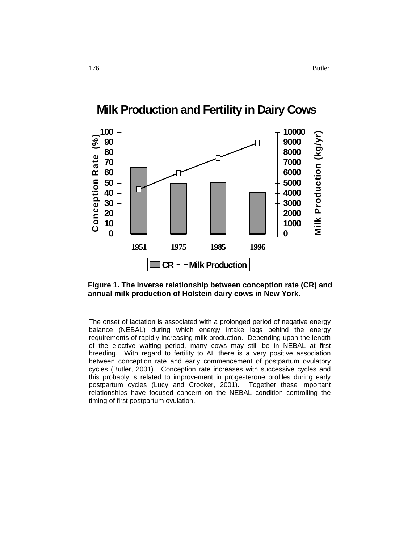

# **Milk Production and Fertility in Dairy Cows**



The onset of lactation is associated with a prolonged period of negative energy balance (NEBAL) during which energy intake lags behind the energy requirements of rapidly increasing milk production. Depending upon the length of the elective waiting period, many cows may still be in NEBAL at first breeding. With regard to fertility to AI, there is a very positive association between conception rate and early commencement of postpartum ovulatory cycles (Butler, 2001). Conception rate increases with successive cycles and this probably is related to improvement in progesterone profiles during early postpartum cycles (Lucy and Crooker, 2001). Together these important relationships have focused concern on the NEBAL condition controlling the timing of first postpartum ovulation.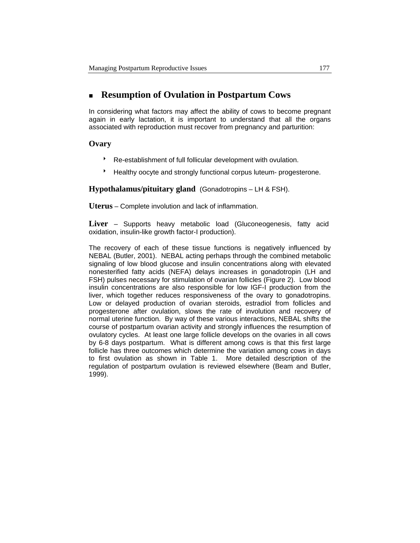# **Resumption of Ovulation in Postpartum Cows**

In considering what factors may affect the ability of cows to become pregnant again in early lactation, it is important to understand that all the organs associated with reproduction must recover from pregnancy and parturition:

## **Ovary**

- \* Re-establishment of full follicular development with ovulation.
- Healthy oocyte and strongly functional corpus luteum- progesterone.

**Hypothalamus/pituitary gland** (Gonadotropins – LH & FSH).

**Uterus** – Complete involution and lack of inflammation.

**Liver** – Supports heavy metabolic load (Gluconeogenesis, fatty acid oxidation, insulin-like growth factor-I production).

The recovery of each of these tissue functions is negatively influenced by NEBAL (Butler, 2001). NEBAL acting perhaps through the combined metabolic signaling of low blood glucose and insulin concentrations along with elevated nonesterified fatty acids (NEFA) delays increases in gonadotropin (LH and FSH) pulses necessary for stimulation of ovarian follicles (Figure 2). Low blood insulin concentrations are also responsible for low IGF-I production from the liver, which together reduces responsiveness of the ovary to gonadotropins. Low or delayed production of ovarian steroids, estradiol from follicles and progesterone after ovulation, slows the rate of involution and recovery of normal uterine function. By way of these various interactions, NEBAL shifts the course of postpartum ovarian activity and strongly influences the resumption of ovulatory cycles. At least one large follicle develops on the ovaries in all cows by 6-8 days postpartum. What is different among cows is that this first large follicle has three outcomes which determine the variation among cows in days to first ovulation as shown in Table 1. More detailed description of the regulation of postpartum ovulation is reviewed elsewhere (Beam and Butler, 1999).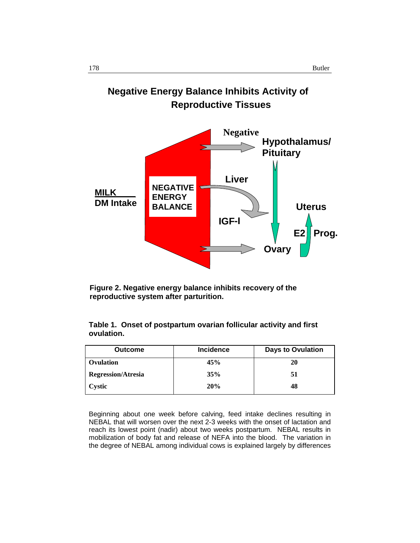



**Figure 2. Negative energy balance inhibits recovery of the reproductive system after parturition.** 

**Table 1. Onset of postpartum ovarian follicular activity and first ovulation.** 

| <b>Outcome</b>            | <b>Incidence</b> | <b>Days to Ovulation</b> |
|---------------------------|------------------|--------------------------|
| Ovulation                 | 45%              | 20                       |
| <b>Regression/Atresia</b> | 35%              | 51                       |
| Cystic                    | 20%              | 48                       |

Beginning about one week before calving, feed intake declines resulting in NEBAL that will worsen over the next 2-3 weeks with the onset of lactation and reach its lowest point (nadir) about two weeks postpartum. NEBAL results in mobilization of body fat and release of NEFA into the blood. The variation in the degree of NEBAL among individual cows is explained largely by differences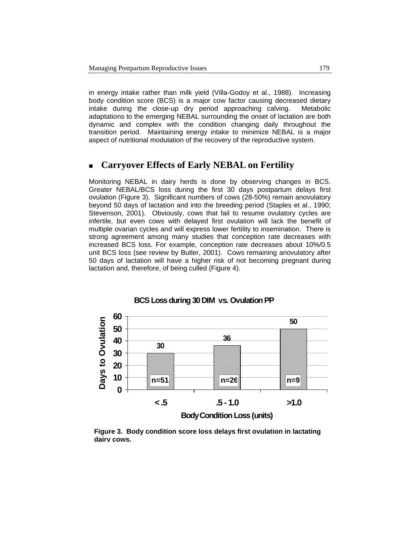in energy intake rather than milk yield (Villa-Godoy et al., 1988). Increasing body condition score (BCS) is a major cow factor causing decreased dietary intake during the close-up dry period approaching calving. Metabolic adaptations to the emerging NEBAL surrounding the onset of lactation are both dynamic and complex with the condition changing daily throughout the transition period. Maintaining energy intake to minimize NEBAL is a major aspect of nutritional modulation of the recovery of the reproductive system.

# **Carryover Effects of Early NEBAL on Fertility**

Monitoring NEBAL in dairy herds is done by observing changes in BCS. Greater NEBAL/BCS loss during the first 30 days postpartum delays first ovulation (Figure 3). Significant numbers of cows (28-50%) remain anovulatory beyond 50 days of lactation and into the breeding period (Staples et al., 1990; Stevenson, 2001). Obviously, cows that fail to resume ovulatory cycles are infertile, but even cows with delayed first ovulation will lack the benefit of multiple ovarian cycles and will express lower fertility to insemination. There is strong agreement among many studies that conception rate decreases with increased BCS loss. For example, conception rate decreases about 10%/0.5 unit BCS loss (see review by Butler, 2001). Cows remaining anovulatory after 50 days of lactation will have a higher risk of not becoming pregnant during lactation and, therefore, of being culled (Figure 4).



#### **BCS Loss during 30 DIM vs. Ovulation PP**

**Figure 3. Body condition score loss delays first ovulation in lactating dairy cows.**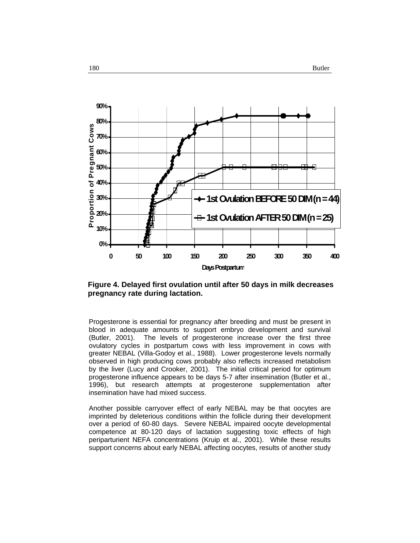

**Figure 4. Delayed first ovulation until after 50 days in milk decreases pregnancy rate during lactation.** 

Progesterone is essential for pregnancy after breeding and must be present in blood in adequate amounts to support embryo development and survival (Butler, 2001). The levels of progesterone increase over the first three ovulatory cycles in postpartum cows with less improvement in cows with greater NEBAL (Villa-Godoy et al., 1988). Lower progesterone levels normally observed in high producing cows probably also reflects increased metabolism by the liver (Lucy and Crooker, 2001). The initial critical period for optimum progesterone influence appears to be days 5-7 after insemination (Butler et al., 1996), but research attempts at progesterone supplementation after insemination have had mixed success.

Another possible carryover effect of early NEBAL may be that oocytes are imprinted by deleterious conditions within the follicle during their development over a period of 60-80 days. Severe NEBAL impaired oocyte developmental competence at 80-120 days of lactation suggesting toxic effects of high periparturient NEFA concentrations (Kruip et al., 2001). While these results support concerns about early NEBAL affecting oocytes, results of another study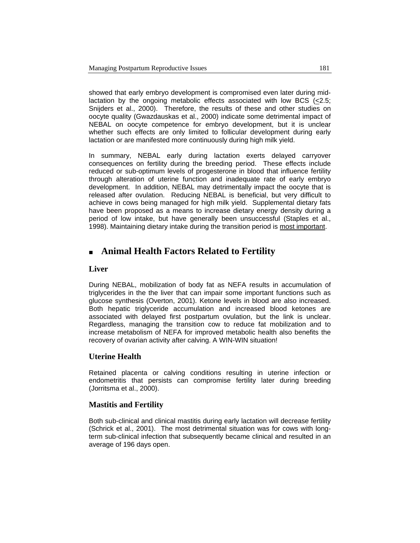showed that early embryo development is compromised even later during midlactation by the ongoing metabolic effects associated with low BCS (<2.5; Snijders et al., 2000). Therefore, the results of these and other studies on oocyte quality (Gwazdauskas et al., 2000) indicate some detrimental impact of NEBAL on oocyte competence for embryo development, but it is unclear whether such effects are only limited to follicular development during early lactation or are manifested more continuously during high milk yield.

In summary, NEBAL early during lactation exerts delayed carryover consequences on fertility during the breeding period. These effects include reduced or sub-optimum levels of progesterone in blood that influence fertility through alteration of uterine function and inadequate rate of early embryo development. In addition, NEBAL may detrimentally impact the oocyte that is released after ovulation. Reducing NEBAL is beneficial, but very difficult to achieve in cows being managed for high milk yield. Supplemental dietary fats have been proposed as a means to increase dietary energy density during a period of low intake, but have generally been unsuccessful (Staples et al., 1998). Maintaining dietary intake during the transition period is most important.

# **Animal Health Factors Related to Fertility**

### **Liver**

During NEBAL, mobilization of body fat as NEFA results in accumulation of triglycerides in the the liver that can impair some important functions such as glucose synthesis (Overton, 2001). Ketone levels in blood are also increased. Both hepatic triglyceride accumulation and increased blood ketones are associated with delayed first postpartum ovulation, but the link is unclear. Regardless, managing the transition cow to reduce fat mobilization and to increase metabolism of NEFA for improved metabolic health also benefits the recovery of ovarian activity after calving. A WIN-WIN situation!

## **Uterine Health**

Retained placenta or calving conditions resulting in uterine infection or endometritis that persists can compromise fertility later during breeding (Jorritsma et al., 2000).

## **Mastitis and Fertility**

Both sub-clinical and clinical mastitis during early lactation will decrease fertility (Schrick et al., 2001). The most detrimental situation was for cows with longterm sub-clinical infection that subsequently became clinical and resulted in an average of 196 days open.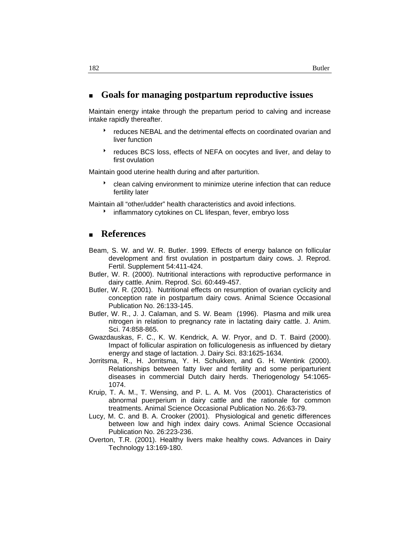## **Goals for managing postpartum reproductive issues**

Maintain energy intake through the prepartum period to calving and increase intake rapidly thereafter.

- \* reduces NEBAL and the detrimental effects on coordinated ovarian and liver function
- reduces BCS loss, effects of NEFA on oocytes and liver, and delay to first ovulation

Maintain good uterine health during and after parturition.

clean calving environment to minimize uterine infection that can reduce fertility later

Maintain all "other/udder" health characteristics and avoid infections.

**EXECT** inflammatory cytokines on CL lifespan, fever, embryo loss

## **References**

- Beam, S. W. and W. R. Butler. 1999. Effects of energy balance on follicular development and first ovulation in postpartum dairy cows. J. Reprod. Fertil. Supplement 54:411-424.
- Butler, W. R. (2000). Nutritional interactions with reproductive performance in dairy cattle. Anim. Reprod. Sci. 60:449-457.
- Butler, W. R. (2001). Nutritional effects on resumption of ovarian cyclicity and conception rate in postpartum dairy cows. Animal Science Occasional Publication No. 26:133-145.
- Butler, W. R., J. J. Calaman, and S. W. Beam (1996). Plasma and milk urea nitrogen in relation to pregnancy rate in lactating dairy cattle. J. Anim. Sci. 74:858-865.
- Gwazdauskas, F. C., K. W. Kendrick, A. W. Pryor, and D. T. Baird (2000). Impact of follicular aspiration on folliculogenesis as influenced by dietary energy and stage of lactation. J. Dairy Sci. 83:1625-1634.
- Jorritsma, R., H. Jorritsma, Y. H. Schukken, and G. H. Wentink (2000). Relationships between fatty liver and fertility and some periparturient diseases in commercial Dutch dairy herds. Theriogenology 54:1065- 1074.
- Kruip, T. A. M., T. Wensing, and P. L. A. M. Vos (2001). Characteristics of abnormal puerperium in dairy cattle and the rationale for common treatments. Animal Science Occasional Publication No. 26:63-79.
- Lucy, M. C. and B. A. Crooker (2001). Physiological and genetic differences between low and high index dairy cows. Animal Science Occasional Publication No. 26:223-236.
- Overton, T.R. (2001). Healthy livers make healthy cows. Advances in Dairy Technology 13:169-180.